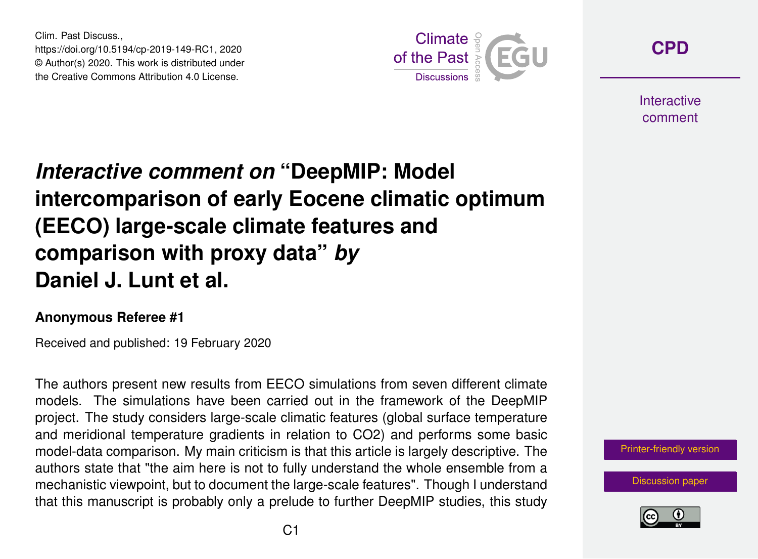Clim. Past Discuss., https://doi.org/10.5194/cp-2019-149-RC1, 2020 © Author(s) 2020. This work is distributed under the Creative Commons Attribution 4.0 License.



**[CPD](https://www.clim-past-discuss.net/)**

**Interactive** comment

## *Interactive comment on* **"DeepMIP: Model intercomparison of early Eocene climatic optimum (EECO) large-scale climate features and comparison with proxy data"** *by* **Daniel J. Lunt et al.**

## **Anonymous Referee #1**

Received and published: 19 February 2020

The authors present new results from EECO simulations from seven different climate models. The simulations have been carried out in the framework of the DeepMIP project. The study considers large-scale climatic features (global surface temperature and meridional temperature gradients in relation to CO2) and performs some basic model-data comparison. My main criticism is that this article is largely descriptive. The authors state that "the aim here is not to fully understand the whole ensemble from a mechanistic viewpoint, but to document the large-scale features". Though I understand that this manuscript is probably only a prelude to further DeepMIP studies, this study



[Discussion paper](https://www.clim-past-discuss.net/cp-2019-149)